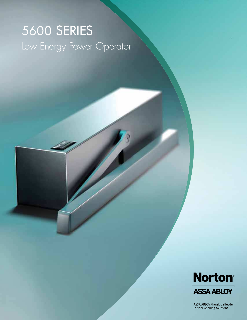# 5600 SERIES Low Energy Power Operator



ASSA ABLOY, the global leader<br>in door opening solutions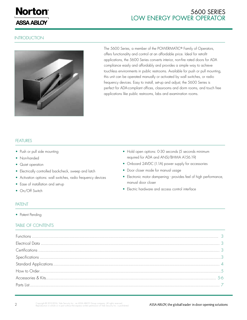

# **INTRODUCTION**



The 5600 Series, a member of the POWERMATIC® Family of Operators, offers functionality and control at an affordable price. Ideal for retrofit applications, the 5600 Series converts interior, non-fire rated doors for ADA compliance easily and affordably and provides a simple way to achieve touchless environments in public restrooms. Available for push or pull mounting, this unit can be operated manually or activated by wall switches, or radio frequency devices. Easy to install, set-up and adjust, the 5600 Series is perfect for ADA-compliant offices, classrooms and dorm rooms, and touch free applications like public restrooms, labs and examination rooms.

### FEATURES

- Push or pull side mounting
- Non-handed
- Quiet operation
- Electrically controlled backcheck, sweep and latch
- Activation options: wall switches, radio frequency devices
- Ease of installation and set-up
- On/Off Switch
- Hold open options: 0-30 seconds (5 seconds minimum required for ADA and ANSI/BHMA A156.19)
- Onboard 24VDC (1.1A) power supply for accessories
- Door closer mode for manual usage
- Electronic motor dampening provides feel of high performance, manual door closer
- Electric hardware and access control interface

# PATENT

• Patent Pending

## TABLE OF CONTENTS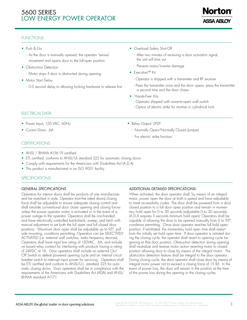

# **FUNCTIONS**

- • Push & Go
	- As the door is manually opened, the operator "senses" movement and opens door to the full-open position.
- Obstruction Detection
	- Motor stops if door is obstructed during opening
- Motor Start Delay
	- 0-5 second delay to allowing locking hardware to release first
- Overload Safety Shut-Off
	- After two minutes of receiving a door activation signal, the unit will time out
	- Prevents motor/inverter damage
- Executive™ Kit
	- Operator is shipped with a transmitter and RF receiver
	- Press the transmitter once and the door opens; press the transmitter a second time and the door closes
- 'Hands-Free' Kits

• Relay Output: SPDT

- For electric strike function

- Operator shipped with wave-to-open wall switch

- Normally Open/Normally Closed (jumper)

- Option of electric strike for mortise or cylindrical lock

# ELECTRICAL DATA

- Power Input; 120 VAC, 60Hz
- Current Draw: .6A

# **CERTIFICATIONS**

- ANSI / BHMA A156.19 certified
- ETL certified; conforms to ANSI/UL standard 325 for automatic closing doors
- Comply with requirements for the Americans with Disabilities Act (A.D.A)
- This product is manufactured in an ISO 9001 facility

# **SPECIFICATIONS**

# GENERAL SPECIFICATIONS

Operators for interior doors shall be products of one manufacturer and be matched in style. Operator (non-fire rated doors) closing force shall be adjustable to ensure adequate closing control and shall simulate conventional door closer opening and closing forces unless the power operator motor is activated or in the event of a power outage to the operator. Operators shall be non-handed and have electrically controlled backcheck, sweep, and latch with manual adjustment to set both the full open and full closed door positions. Maximum door open shall be adjustable up to 95°, pull side mounting, conditions permitting. Operators can be SELECTIVELY ACTIVATED (i.e. external wall switches, radio frequency devices). Operators shall have input line rating of 120VAC, .6A, and include on board relay contact for interfacing with products having a rating of 24VDC at 1A. Door operators shall include an external On/ Off Switch to defeat powered opening cycle and an internal circuit breaker switch to interrupt input power for servicing. Operators shall be ETL certified and conform to ANSI/U.L. standard 325 for automatic closing doors. Door operators shall be in compliance with the requirements of the Americans with Disabilities Act (ADA) and ANSI/ BHMA standard A117.1.

# ADDITIONAL DETAILED SPECIFICATIONS:

When activated, the door operator shall, by means of an integral motor, power open the door at both a speed and force adjustable to meet accessibility codes. The door shall be powered from a door closed position to a full door open position and remain in momentary hold open for 0 to 30 seconds (adjustable 0 to 30 seconds); (A.D.A requires 5 seconds minimum hold open). Operators shall be capable of allowing the door to be opened manually from 0 to 95°, conditions permitting. Once door operator reaches full hold open position, if reinitiated, the momentary hold open time shall restart from the initially set hold open time. If door operator is initiated during the closing cycle, the operator shall revert to opening cycle beginning at that door position. Obstruction detection during opening shall neutralize and reverse motor action reverting motor to closed position allowing door to close by means of the integral motor. The obstruction detection feature shall be integral to the door operator. During closing cycle, the door operator shall close door by means of integral motor power not to exceed a closing force of 15 lbf. In the event of power loss, the door will remain in the position at the time of the power loss during the opening or the closing cycles.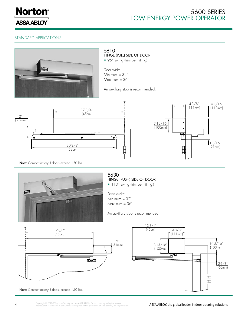

# STANDARD APPLICATIONS



Note: Contact factory if doors exceed 150 lbs.

ASSA ABLOY, the global leader in door opening solutions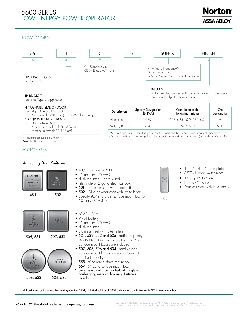# Norton **ASSA ABLOY**

# HOW TO ORDER



Note: For Kits see page 5 & 6.

Activating Door Switches

### ACCESSORIES

#### • 15 amp @ 125 VAC **PRESS TO** PUSH<sub>O</sub> OPERATE **DOOR** 501 502 501 or 502 switch  $\bullet$  6" W.  $\times$  6" H. • 9 volt battery **PUSH**  $\bullet$  15 amp @ 125 VAC • Flush mounted • Stainless steel with blue letters • 531, 532, 533 and 535 - radio frequency 507, 532 505, 531 (433MHz). Used with RF option and 539. Surface mount boxes are included. • 507, 505, 506 and 534 - hard wired\*. Surface mount boxes are not included. If required, specify: PUSH<br>TO OPEN 555 - 6" square surface mount box 557 - 6" round surface mount box Switches may also be installed with single or double gang electrical box using fasteners 506, 533 534, 535 included.

- $4$ -1/2" W. x  $4$ -1/2" H.
- Flush mounted hard wired
- Fits single or 2 gang electrical box
- 501 Stainless steel with black letters
- $\bullet$  502 Blue powder coat with white letters
- Specify #542 to order surface mount box for



- $1-1/2$ " x 4-3/4" face plate
- SPDT UL listed switch-mom.
- 15 amp @ 125 VAC
- Fits 1-3/4" frame
- Stainless steel with blue letters

503

All hard wired switches are Momentary Contact SPDT, UL Listed. Optional DPDT switches are available; suffix "D" to model number.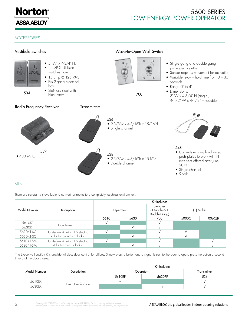

#### ACCESSORIES



KITS

There are several kits available to convert restrooms to a completely touchless environment.

|              | Description                                                      | Kit Includes |      |                                           |            |         |  |
|--------------|------------------------------------------------------------------|--------------|------|-------------------------------------------|------------|---------|--|
| Model Number |                                                                  | Operator     |      | Switches<br>(1 Single & 1<br>Double Gang) | (1) Strike |         |  |
|              |                                                                  | 5610         | 5630 | 700                                       | 5000C      | 1006CLB |  |
| 5610K1       | Hands-free kit                                                   |              |      |                                           |            |         |  |
| 5630K1       |                                                                  |              |      |                                           |            |         |  |
| 5610K1-SC    | Hands-free kit with HES electric<br>strike for cylindrical locks |              |      |                                           |            |         |  |
| 5630K1-SC    |                                                                  |              |      |                                           |            |         |  |
| 5610K1-SM    | Hands-free kit with HES electric<br>strike for mortise locks     |              |      |                                           |            |         |  |
| 5630K1-SM    |                                                                  |              |      |                                           |            |         |  |

The Executive Function Kits provide wireless door control for offices. Simply press a button and a signal is sent to the door to open; press the button a second time and the door closes.

|              |                    | Kit Includes |             |     |  |  |
|--------------|--------------------|--------------|-------------|-----|--|--|
| Model Number | Description        | Operator     | Transmitter |     |  |  |
|              |                    | 5610RF       | 5630RF      | 536 |  |  |
| 5610EX       | Executive function |              |             |     |  |  |
| 5630EX       |                    |              |             |     |  |  |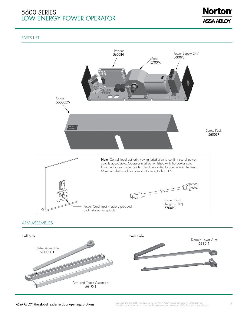

#### PARTS LIST



Arm and Track Assembly 5610-1